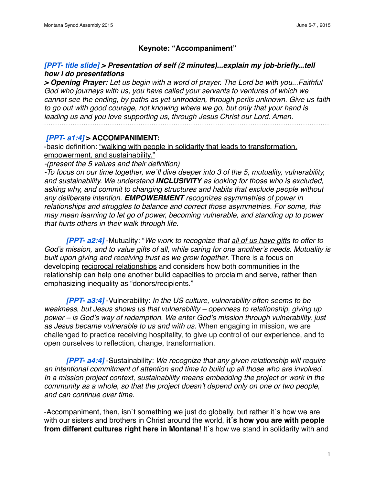## **Keynote: "Accompaniment"**

### *[PPT- title slide] > Presentation of self (2 minutes)...explain my job-briefly...tell how i do presentations*

*> Opening Prayer: Let us begin with a word of prayer. The Lord be with you...Faithful God who journeys with us, you have called your servants to ventures of which we cannot see the ending, by paths as yet untrodden, through perils unknown. Give us faith to go out with good courage, not knowing where we go, but only that your hand is leading us and you love supporting us, through Jesus Christ our Lord. Amen.*

 *[PPT- a1:4]* **> ACCOMPANIMENT:**

-basic definition: "walking with people in solidarity that leads to transformation, empowerment, and sustainability."

*-(present the 5 values and their definition)*

*-To focus on our time together, we´ll dive deeper into 3 of the 5, mutuality, vulnerability, and sustainability. We understand INCLUSIVITY as looking for those who is excluded, asking why, and commit to changing structures and habits that exclude people without any deliberate intention. EMPOWERMENT recognizes asymmetries of power in relationships and struggles to balance and correct those asymmetries. For some, this may mean learning to let go of power, becoming vulnerable, and standing up to power that hurts others in their walk through life.* 

*[PPT- a2:4]* -Mutuality: "*We work to recognize that all of us have gifts to offer to God*'*s mission, and to value gifts of all, while caring for one another*'*s needs. Mutuality is built upon giving and receiving trust as we grow together.* There is a focus on developing reciprocal relationships and considers how both communities in the relationship can help one another build capacities to proclaim and serve, rather than emphasizing inequality as "donors/recipients."

*[PPT- a3:4]* -Vulnerability: *In the US culture, vulnerability often seems to be weakness, but Jesus shows us that vulnerability – openness to relationship, giving up power – is God*'*s way of redemption. We enter God*'*s mission through vulnerability, just as Jesus became vulnerable to us and with us.* When engaging in mission, we are challenged to practice receiving hospitality, to give up control of our experience, and to open ourselves to reflection, change, transformation.

*[PPT- a4:4]* -Sustainability: *We recognize that any given relationship will require an intentional commitment of attention and time to build up all those who are involved. In a mission project context, sustainability means embedding the project or work in the community as a whole, so that the project doesn*'*t depend only on one or two people, and can continue over time.*

-Accompaniment, then, isn´t something we just do globally, but rather it´s how we are with our sisters and brothers in Christ around the world, **it´s how you are with people from different cultures right here in Montana!** It's how we stand in solidarity with and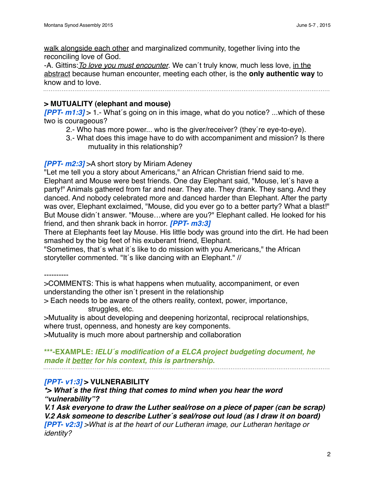walk alongside each other and marginalized community, together living into the reconciling love of God.

-A. Gittins:*To love you must encounter*. We can´t truly know, much less love, in the abstract because human encounter, meeting each other, is the **only authentic way** to know and to love.

# **> MUTUALITY (elephant and mouse)**

*[PPT- m1:3]* > 1.- What´s going on in this image, what do you notice? ...which of these two is courageous?

- 2.- Who has more power... who is the giver/receiver? (they´re eye-to-eye).
- 3.- What does this image have to do with accompaniment and mission? Is there mutuality in this relationship?

### *[PPT- m2:3]* >A short story by Miriam Adeney

"Let me tell you a story about Americans," an African Christian friend said to me. Elephant and Mouse were best friends. One day Elephant said, "Mouse, let´s have a party!" Animals gathered from far and near. They ate. They drank. They sang. And they danced. And nobody celebrated more and danced harder than Elephant. After the party was over, Elephant exclaimed, "Mouse, did you ever go to a better party? What a blast!" But Mouse didn´t answer. "Mouse…where are you?" Elephant called. He looked for his friend, and then shrank back in horror. *[PPT- m3:3]*

There at Elephants feet lay Mouse. His little body was ground into the dirt. He had been smashed by the big feet of his exuberant friend, Elephant.

"Sometimes, that´s what it´s like to do mission with you Americans," the African storyteller commented. "It´s like dancing with an Elephant." //

----------

>COMMENTS: This is what happens when mutuality, accompaniment, or even understanding the other isn´t present in the relationship

> Each needs to be aware of the others reality, context, power, importance, struggles, etc.

>Mutuality is about developing and deepening horizontal, reciprocal relationships, where trust, openness, and honesty are key components.

>Mutuality is much more about partnership and collaboration

**\*\*\*-EXAMPLE:** *IELU´s modification of a ELCA project budgeting document, he made it better for his context, this is partnership.*

### *[PPT- v1:3]* **> VULNERABILITY**

*\*> What´s the first thing that comes to mind when you hear the word "vulnerability"?*

*V.1 Ask everyone to draw the Luther seal/rose on a piece of paper (can be scrap) V.2 Ask someone to describe Luther´s seal/rose out loud (as I draw it on board) [PPT- v2:3] >What is at the heart of our Lutheran image, our Lutheran heritage or identity?*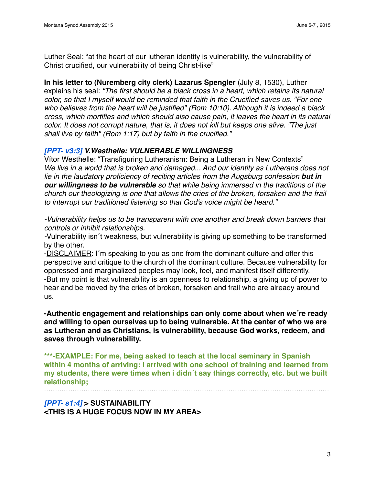Luther Seal: "at the heart of our lutheran identity is vulnerability, the vulnerability of Christ crucified, our vulnerability of being Christ-like"

**In his letter to (Nuremberg city clerk) Lazarus Spengler** (July 8, 1530), Luther explains his seal: *"The first should be a black cross in a heart, which retains its natural color, so that I myself would be reminded that faith in the Crucified saves us. "For one who believes from the heart will be justified" (Rom 10:10). Although it is indeed a black cross, which mortifies and which should also cause pain, it leaves the heart in its natural color. It does not corrupt nature, that is, it does not kill but keeps one alive. "The just shall live by faith" (Rom 1:17) but by faith in the crucified."*

## *[PPT- v3:3] V.Westhelle: VULNERABLE WILLINGNESS*

Vítor Westhelle: "Transfiguring Lutheranism: Being a Lutheran in New Contexts" *We live in a world that is broken and damaged... And our identity as Lutherans does not lie in the laudatory proficiency of reciting articles from the Augsburg confession but in our willingness to be vulnerable so that while being immersed in the traditions of the church our theologizing is one that allows the cries of the broken, forsaken and the frail to interrupt our traditioned listening so that God's voice might be heard."*

*-Vulnerability helps us to be transparent with one another and break down barriers that controls or inhibit relationships.*

*-*Vulnerability isn´t weakness, but vulnerability is giving up something to be transformed by the other.

-DISCLAIMER: I´m speaking to you as one from the dominant culture and offer this perspective and critique to the church of the dominant culture. Because vulnerability for oppressed and marginalized peoples may look, feel, and manifest itself differently. -But my point is that vulnerability is an openness to relationship, a giving up of power to hear and be moved by the cries of broken, forsaken and frail who are already around us.

**-Authentic engagement and relationships can only come about when we´re ready and willing to open ourselves up to being vulnerable. At the center of who we are as Lutheran and as Christians, is vulnerability, because God works, redeem, and saves through vulnerability.**

**\*\*\*-EXAMPLE: For me, being asked to teach at the local seminary in Spanish within 4 months of arriving: i arrived with one school of training and learned from my students, there were times when i didn´t say things correctly, etc. but we built relationship;** 

*[PPT- s1:4]* **> SUSTAINABILITY <THIS IS A HUGE FOCUS NOW IN MY AREA>**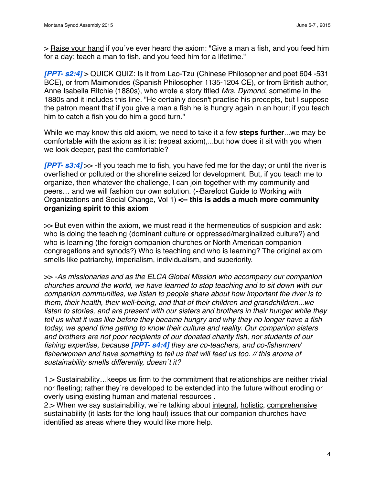> Raise your hand if you've ever heard the axiom: "Give a man a fish, and you feed him for a day; teach a man to fish, and you feed him for a lifetime."

*[PPT- s2:4]* > QUICK QUIZ: Is it from Lao-Tzu (Chinese Philosopher and poet 604 -531 BCE), or from Maimonides (Spanish Philosopher 1135-1204 CE), or from British author, Anne Isabella Ritchie (1880s), who wrote a story titled *Mrs. Dymond*, sometime in the 1880s and it includes this line. "He certainly doesn't practise his precepts, but I suppose the patron meant that if you give a man a fish he is hungry again in an hour; if you teach him to catch a fish you do him a good turn."

While we may know this old axiom, we need to take it a few **steps further**...we may be comfortable with the axiom as it is: (repeat axiom),...but how does it sit with you when we look deeper, past the comfortable?

*[PPT- s3:4]* >> -If you teach me to fish, you have fed me for the day; or until the river is overfished or polluted or the shoreline seized for development. But, if you teach me to organize, then whatever the challenge, I can join together with my community and peers… and we will fashion our own solution. (~Barefoot Guide to Working with Organizations and Social Change, Vol 1) **<-- this is adds a much more community organizing spirit to this axiom**

>> But even within the axiom, we must read it the hermeneutics of suspicion and ask: who is doing the teaching (dominant culture or oppressed/marginalized culture?) and who is learning (the foreign companion churches or North American companion congregations and synods?) Who is teaching and who is learning? The original axiom smells like patriarchy, imperialism, individualism, and superiority.

>> *-As missionaries and as the ELCA Global Mission who accompany our companion churches around the world, we have learned to stop teaching and to sit down with our companion communities, we listen to people share about how important the river is to them, their health, their well-being, and that of their children and grandchildren...we listen to stories, and are present with our sisters and brothers in their hunger while they tell us what it was like before they became hungry and why they no longer have a fish today, we spend time getting to know their culture and reality. Our companion sisters and brothers are not poor recipients of our donated charity fish, nor students of our fishing expertise, because [PPT- s4:4] they are co-teachers, and co-fishermen/ fisherwomen and have something to tell us that will feed us too. // this aroma of sustainability smells differently, doesn´t it?*

1.> Sustainability…keeps us firm to the commitment that relationships are neither trivial nor fleeting; rather they´re developed to be extended into the future without eroding or overly using existing human and material resources .

2.> When we say sustainability, we're talking about integral, holistic, comprehensive sustainability (it lasts for the long haul) issues that our companion churches have identified as areas where they would like more help.